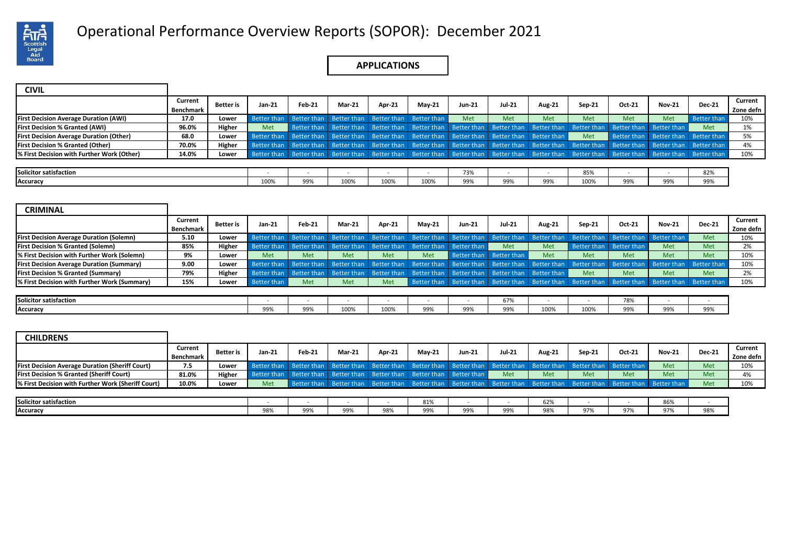

# Operational Performance Overview Reports (SOPOR): December 2021 .

## **APPLICATIONS**

| <b>CIVIL</b>                                   |                      |                  |        |                                                                                                 |          |        |                                     |               |               |               |                                                                                                                                                                         |        |               |                                     |                      |
|------------------------------------------------|----------------------|------------------|--------|-------------------------------------------------------------------------------------------------|----------|--------|-------------------------------------|---------------|---------------|---------------|-------------------------------------------------------------------------------------------------------------------------------------------------------------------------|--------|---------------|-------------------------------------|----------------------|
|                                                | Current<br>Benchmark | <b>Better</b> is | Jan-21 | Feb-21                                                                                          | $Mar-21$ | Apr-21 | <b>May-21</b>                       | <b>Jun-21</b> | <b>Jul-21</b> | <b>Aug-21</b> | $Sen-21$                                                                                                                                                                | Oct-21 | <b>Nov-21</b> | <b>Dec-21</b>                       | Current<br>Zone defn |
| <b>First Decision Average Duration (AWI)</b>   | 17.0                 | Lower            |        | Better than Better than                                                                         |          |        | Better than Better than Better than | Met           | Met           | Met           | Met                                                                                                                                                                     | Met    | Met           | <b>Better than</b>                  | 10%                  |
| <b>First Decision % Granted (AWI)</b>          | 96.0%                | Higher           | Met    |                                                                                                 |          |        |                                     |               |               |               | Better than Better than Better than Better than Better than Better than Better than Better than Better than Better than                                                 |        |               | Met                                 | 1%                   |
| <b>First Decision Average Duration (Other)</b> | 68.0                 | Lower            |        | Better than Better than Better than Better than Better than Better than Better than Better than |          |        |                                     |               |               |               | Met                                                                                                                                                                     |        |               | Better than Better than Better than | 5%                   |
| <b>First Decision % Granted (Other)</b>        | 70.0%                | Higher           |        |                                                                                                 |          |        |                                     |               |               |               | Better than Better than Better than Better than Better than Better than Better than Better than Better than Better than Better than Better than Better than Better than |        |               |                                     | 4%                   |
| % First Decision with Further Work (Other)     | 14.0%                | Lower            |        |                                                                                                 |          |        |                                     |               |               |               | Better than Better than Better than Better than Better than Better than Better than Better than Better than Better than Better than Better than Better than             |        |               |                                     | 10%                  |
|                                                |                      |                  |        |                                                                                                 |          |        |                                     |               |               |               |                                                                                                                                                                         |        |               |                                     |                      |
| <b>Solicitor satisfaction</b>                  |                      |                  |        |                                                                                                 |          |        |                                     | 73%           |               |               | 85%                                                                                                                                                                     |        |               | 82%                                 |                      |
| Accuracy                                       |                      |                  | 100%   | 99%                                                                                             | 100%     | 100%   | 100%                                | 99%           | 99%           | 99%           | 100%                                                                                                                                                                    | 99%    | 99%           | 99%                                 |                      |

| <b>CRIMINAL</b>                                  |                             |                  |                    |               |                                                                         |        |               |        |                                                                                                                                                             |        |          |                         |               |               |                      |
|--------------------------------------------------|-----------------------------|------------------|--------------------|---------------|-------------------------------------------------------------------------|--------|---------------|--------|-------------------------------------------------------------------------------------------------------------------------------------------------------------|--------|----------|-------------------------|---------------|---------------|----------------------|
|                                                  | Current<br><b>Benchmark</b> | <b>Better</b> is | Jan-21             | <b>Feb-21</b> | <b>Mar-21</b>                                                           | Apr-21 | <b>Mav-21</b> | Jun-21 | <b>Jul-21</b>                                                                                                                                               | Aug-21 | $Sep-21$ | Oct-21                  | <b>Nov-21</b> | <b>Dec-21</b> | Current<br>Zone defn |
| <b>First Decision Average Duration (Solemn)</b>  | 5.10                        | Lower            |                    |               |                                                                         |        |               |        | Better than Better than Better than Better than Better than Better than Better than Better than Better than Better than Better than                         |        |          |                         |               | Met           | 10%                  |
| <b>First Decision % Granted (Solemn)</b>         | 85%                         | Higher           |                    |               | Better than Better than Better than Better than Better than Better than |        |               |        | Met                                                                                                                                                         | Met    |          | Better than Better than | <b>Met</b>    | <b>Met</b>    | 2%                   |
| % First Decision with Further Work (Solemn)      | 9%                          | Lower            | Met                | Met           | Met                                                                     | Met    | <b>Met</b>    |        | Better than Better than                                                                                                                                     | Met    | Met      | <b>Met</b>              | Met           | Met           | 10%                  |
| <b>First Decision Average Duration (Summary)</b> | 9.00                        | Lower            |                    |               |                                                                         |        |               |        | Better than Better than Better than Better than Better than Better than Better than Better than Better than Better than Better than Better than Better than |        |          |                         |               |               | 10%                  |
| <b>First Decision % Granted (Summary)</b>        | 79%                         | Higher           |                    |               |                                                                         |        |               |        | Better than Better than Better than Better than Better than Better than Better than Better than                                                             |        | Met      | <b>Met</b>              | Met           | Met           | 2%                   |
| % First Decision with Further Work (Summary)     | 15%                         | Lower            | <b>Better than</b> | Met           | Met                                                                     | Met    |               |        | Better than Better than Better than Better than Better than Better than Better than Better than                                                             |        |          |                         |               |               | 10%                  |
|                                                  |                             |                  |                    |               |                                                                         |        |               |        |                                                                                                                                                             |        |          |                         |               |               |                      |
| Solicitor satisfaction                           |                             |                  |                    |               |                                                                         |        |               |        | 67%                                                                                                                                                         |        |          | 78%                     |               |               |                      |
| Accuracy                                         |                             |                  | 99%                | 99%           | 100%                                                                    | 100%   | 99%           | 99%    | 99%                                                                                                                                                         | 100%   | 100%     | 99%                     |               | 99%           |                      |

| <b>CHILDRENS</b>                                       |           |           |          |                                                                                                                         |               |        |          |               |               |        |        |        |               |               |           |
|--------------------------------------------------------|-----------|-----------|----------|-------------------------------------------------------------------------------------------------------------------------|---------------|--------|----------|---------------|---------------|--------|--------|--------|---------------|---------------|-----------|
|                                                        | Current   | Better is | $Jan-21$ | $Feb-21$                                                                                                                | <b>Mar-21</b> | Apr-21 | $Mav-21$ | <b>Jun-21</b> | <b>Jul-21</b> | Aug-21 | Sep-21 | Oct-21 | <b>Nov-21</b> | <b>Dec-21</b> | Current   |
|                                                        | Benchmark |           |          |                                                                                                                         |               |        |          |               |               |        |        |        |               |               | Zone defn |
| <b>First Decision Average Duration (Sheriff Court)</b> | 7.5       | Lower     |          | Better than Better than Better than Better than Better than Better than Better than Better than Better than Better than |               |        |          |               |               |        |        |        | Met           | Met           | 10%       |
| <b>First Decision % Granted (Sheriff Court)</b>        | 81.0%     | Higher    |          | Better than Better than Better than Better than Better than Better than                                                 |               |        |          |               | Met           | Met    | Met    | Met    | Met           | Met           | 4%        |
| % First Decision with Further Work (Sheriff Court)     | 10.0%     | Lower     | Met      | Better than Better than Better than Better than Better than Better than Better than Better than Better than Better than |               |        |          |               |               |        |        |        |               | Met           | 10%       |
|                                                        |           |           |          |                                                                                                                         |               |        |          |               |               |        |        |        |               |               |           |
| Solicitor satisfaction                                 |           |           |          |                                                                                                                         |               |        | 81%      |               |               | 62%    |        |        | 86%           |               |           |
| Accuracy                                               |           |           | 98%      | 99%                                                                                                                     | 99%           | 98%    | 99%      | 99%           | 99%           | 98%    | 97%    | 97%    | 97%           | 98%           |           |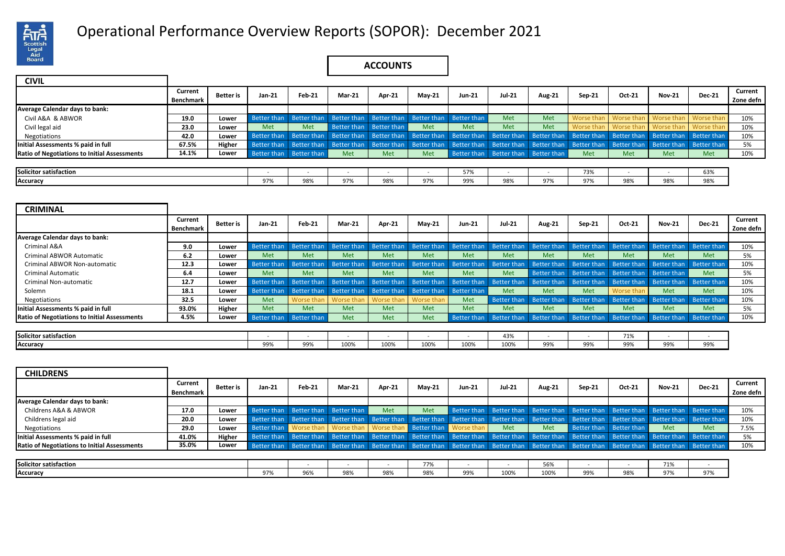

# Operational Performance Overview Reports (SOPOR): December 2021 .

## **ACCOUNTS**

| <b>CIVIL</b>                                        |           |                  |        |                         |                                                                         |               |               |               |                                     |               |                                                                                                                                                                         |                         |               |               |           |
|-----------------------------------------------------|-----------|------------------|--------|-------------------------|-------------------------------------------------------------------------|---------------|---------------|---------------|-------------------------------------|---------------|-------------------------------------------------------------------------------------------------------------------------------------------------------------------------|-------------------------|---------------|---------------|-----------|
|                                                     | Current   | <b>Better</b> is | Jan-21 | Feb-21                  | <b>Mar-21</b>                                                           | <b>Apr-21</b> |               | <b>Jun-21</b> | <b>Jul-21</b>                       |               |                                                                                                                                                                         | Oct-21                  | <b>Nov-21</b> | <b>Dec-21</b> | Current   |
|                                                     | Benchmark |                  |        |                         |                                                                         |               | <b>May-21</b> |               |                                     | <b>Aug-21</b> | Sep-21                                                                                                                                                                  |                         |               |               | Zone defn |
| Average Calendar days to bank:                      |           |                  |        |                         |                                                                         |               |               |               |                                     |               |                                                                                                                                                                         |                         |               |               |           |
| Civil A&A & ABWOR                                   | 19.0      | Lower            |        |                         | Better than Better than Better than Better than Better than Better than |               |               |               | Met                                 | Met           |                                                                                                                                                                         | Worse than   Worse than | Worse than    | Worse than    | 10%       |
| Civil legal aid                                     | 23.0      | Lower            | Met    | Met                     | Better than Better than                                                 |               | <b>Met</b>    | Met           | Met                                 | Met           |                                                                                                                                                                         | Worse than Worse than   | Worse than    | Worse than    | 10%       |
| Negotiations                                        | 42.0      | Lower            |        |                         |                                                                         |               |               |               |                                     |               | Better than Better than Better than Better than Better than Better than Better than Better than Better than Better than Better than Better than Better than Better than |                         |               |               | 10%       |
| Initial Assessments % paid in full                  | 67.5%     | Higher           |        |                         |                                                                         |               |               |               |                                     |               | Better than Better than Better than Better than Better than Better than Better than Better than Better than Better than Better than Better than Better than             |                         |               |               | 5%        |
| <b>Ratio of Negotiations to Initial Assessments</b> | 14.1%     | Lower            |        | Better than Better than | Met                                                                     | Met           | <b>Met</b>    |               | Better than Better than Better than |               | Met                                                                                                                                                                     | Met                     | Met           | <b>Met</b>    | 10%       |
|                                                     |           |                  |        |                         |                                                                         |               |               |               |                                     |               |                                                                                                                                                                         |                         |               |               |           |
| Solicitor satisfaction                              |           |                  |        |                         |                                                                         |               |               | 57%           |                                     |               | 73%                                                                                                                                                                     |                         |               | 63%           |           |
| Accuracy                                            |           |                  | 97%    | 98%                     | 97%                                                                     | 98%           | 97%           | 99%           | 98%                                 | 97%           | 97%                                                                                                                                                                     | 98%                     | 98%           | 98%           |           |

| <b>CRIMINAL</b>                                     |                      |           |                                                                                                                                                             |            |                                                                         |        |            |               |               |               |                                                                                                                                                 |            |               |               |                      |
|-----------------------------------------------------|----------------------|-----------|-------------------------------------------------------------------------------------------------------------------------------------------------------------|------------|-------------------------------------------------------------------------|--------|------------|---------------|---------------|---------------|-------------------------------------------------------------------------------------------------------------------------------------------------|------------|---------------|---------------|----------------------|
|                                                     | Current<br>Benchmark | Better is | Jan-21                                                                                                                                                      | Feb-21     | <b>Mar-21</b>                                                           | Apr-21 | $M$ ay-21  | <b>Jun-21</b> | <b>Jul-21</b> | <b>Aug-21</b> | Sep-21                                                                                                                                          | Oct-21     | <b>Nov-21</b> | <b>Dec-21</b> | Current<br>Zone defn |
| <b>Average Calendar days to bank:</b>               |                      |           |                                                                                                                                                             |            |                                                                         |        |            |               |               |               |                                                                                                                                                 |            |               |               |                      |
| Criminal A&A                                        | 9.0                  | Lower     | Better than Better than Better than Better than Better than Better than Better than Better than Better than Better than Better than Better than Better than |            |                                                                         |        |            |               |               |               |                                                                                                                                                 |            |               |               | 10%                  |
| Criminal ABWOR Automatic                            | 6.2                  | Lower     | Met                                                                                                                                                         | Met        | Met                                                                     | Met    | Met        | Met           | Met           | Met           | Met                                                                                                                                             | Met        | Met           | Met           | 5%                   |
| Criminal ABWOR Non-automatic                        | 12.3                 | Lower     | <b>Better than</b>                                                                                                                                          |            |                                                                         |        |            |               |               |               | Better than Better than Better than Better than Better than Better than Better than Better than Better than Better than Better than             |            |               |               | 10%                  |
| Criminal Automatic                                  | 6.4                  | Lower     | Met                                                                                                                                                         | <b>Met</b> | Met                                                                     | Met    | <b>Met</b> | Met           | Met           |               | Better than Better than Better than Better than                                                                                                 |            |               | Met           | 5%                   |
| <b>Criminal Non-automatic</b>                       | 12.7                 | Lower     |                                                                                                                                                             |            |                                                                         |        |            |               |               |               | Better than Better than Better than Better than Better than Better than Better than Better than Better than Better than Better than Better than |            |               |               | 10%                  |
| Solemn                                              | 18.1                 | Lower     |                                                                                                                                                             |            | Better than Better than Better than Better than Better than Better than |        |            |               | Met           | Met           | <b>Met</b>                                                                                                                                      | Worse than | Met           | Met           | 10%                  |
| <b>Negotiations</b>                                 | 32.5                 | Lower     | Met                                                                                                                                                         |            | Worse than   Worse than   Worse than   Worse than                       |        |            | Met           |               |               | Better than Better than Better than Better than Better than Better than                                                                         |            |               |               | 10%                  |
| Initial Assessments % paid in full                  | 93.0%                | Higher    | Met                                                                                                                                                         | Met        | Met                                                                     | Met    | <b>Met</b> | Met           | Met           | Met           | Met                                                                                                                                             | <b>Met</b> | Met           | Met           | 5%                   |
| <b>Ratio of Negotiations to Initial Assessments</b> | 4.5%                 | Lower     | Better than Better than                                                                                                                                     |            | Met                                                                     | Met    | <b>Met</b> |               |               |               | Better than Better than Better than Better than Better than Better than Better than                                                             |            |               |               | 10%                  |

| <b>Solicitor satisfaction</b> |            |     |      |      |      |      | $\sim$<br>43% |     |     | 710/<br>7 T / C |     |                             |
|-------------------------------|------------|-----|------|------|------|------|---------------|-----|-----|-----------------|-----|-----------------------------|
| <b>Accuracy</b>               | 000<br>997 | 99% | 100% | 100% | 100% | 100% | 100%          | 99% | 99% | 99%             | 99% | $\sim$ $\sim$ $\sim$<br>997 |

| <b>CHILDRENS</b>                                    |                             |           |        |               |                                                                     |        |          |               |          |               |                                                                                                                                                                         |        |               |               |                      |
|-----------------------------------------------------|-----------------------------|-----------|--------|---------------|---------------------------------------------------------------------|--------|----------|---------------|----------|---------------|-------------------------------------------------------------------------------------------------------------------------------------------------------------------------|--------|---------------|---------------|----------------------|
|                                                     | Current<br><b>Benchmark</b> | Better is | Jan-21 | <b>Feb-21</b> | $Mar-21$                                                            | Apr-21 | $Mav-21$ | <b>Jun-21</b> | $Jul-21$ | <b>Aug-21</b> | Sep-21                                                                                                                                                                  | Oct-21 | <b>Nov-21</b> | <b>Dec-21</b> | Current<br>Zone defn |
| Average Calendar days to bank:                      |                             |           |        |               |                                                                     |        |          |               |          |               |                                                                                                                                                                         |        |               |               |                      |
| Childrens A&A & ABWOR                               | 17.0                        | Lower     |        |               | Better than Better than Better than                                 | Met    | Met      |               |          |               | Better than Better than Better than Better than Better than Better than Better than                                                                                     |        |               |               | 10%                  |
| Childrens legal aid                                 | 20.0                        | Lower     |        |               |                                                                     |        |          |               |          |               | Better than Better than Better than Better than Better than Better than Better than Better than Better than Better than Better than Better than Better than             |        |               |               | 10%                  |
| Negotiations                                        | 29.0                        | Lower     |        |               | Better than Worse than Worse than Worse than Better than Worse than |        |          |               | Met      | <b>Met</b>    | Better than Better than                                                                                                                                                 |        | Met           | Met           | 7.5%                 |
| Initial Assessments % paid in full                  | 41.0%                       | Higher    |        |               |                                                                     |        |          |               |          |               | Better than Better than Better than Better than Better than Better than Better than Better than Better than Better than Better than Better than Better than             |        |               |               | 5%                   |
| <b>Ratio of Negotiations to Initial Assessments</b> | 35.0%                       | Lower     |        |               |                                                                     |        |          |               |          |               | Better than Better than Better than Better than Better than Better than Better than Better than Better than Better than Better than Better than Better than Better than |        |               |               | 10%                  |
|                                                     |                             |           |        |               |                                                                     |        |          |               |          |               |                                                                                                                                                                         |        |               |               |                      |
| Solicitor satisfaction                              |                             |           |        |               |                                                                     |        | 77%      |               |          | 56%           |                                                                                                                                                                         |        | 71%           |               |                      |
| Accuracy                                            |                             |           | 97%    | 96%           | 98%                                                                 | 98%    | 98%      | 99%           | 100%     | 100%          | 99%                                                                                                                                                                     | 98%    | 97%           | 97%           |                      |